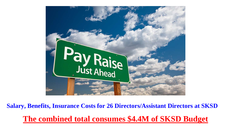

**Salary, Benefits, Insurance Costs for 26 Directors/Assistant Directors at SKSD The combined total consumes \$4.4M of SKSD Budget**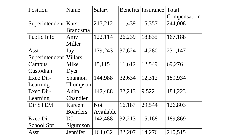| Position               | Name            | Salary     |        | Benefits Insurance Total |              |
|------------------------|-----------------|------------|--------|--------------------------|--------------|
|                        |                 |            |        |                          | Compensation |
| Superintendent   Karst |                 | 217,212    | 11,439 | 15,357                   | 244,008      |
|                        | <b>Brandsma</b> |            |        |                          |              |
| Public Info            | Amy             | 122,114    | 26,239 | 18,835                   | 167,188      |
|                        | Miller          |            |        |                          |              |
| Asst                   | Jay             | 179,243    | 37,624 | 14,280                   | 231,147      |
| Superintendent         | <b>Villars</b>  |            |        |                          |              |
| Campus                 | Mike            | 45,115     | 11,612 | 12,549                   | 69,276       |
| Custodian              | Dyer            |            |        |                          |              |
| Exec Dir-              | Shannon         | 144,988    | 32,634 | 12,312                   | 189,934      |
| Learning               | <b>Thompson</b> |            |        |                          |              |
| Exec Dir-              | Anita           | 142,488    | 32,213 | 9,522                    | 184,223      |
| Learning               | Chandler        |            |        |                          |              |
| Dir STEM               | Kareem          | <b>Not</b> | 16,187 | 29,544                   | 126,803      |
|                        | <b>Boarders</b> | Available  |        |                          |              |
| Exec Dir-              | DJ              | 142,488    | 32,213 | 15,168                   | 189,869      |
| School Spt             | Sigurdson       |            |        |                          |              |
| Asst                   | Jennifer        | 164,032    | 32,207 | 14,276                   | 210,515      |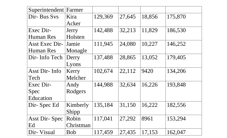| Superintendent       | Farmer     |         |        |        |         |
|----------------------|------------|---------|--------|--------|---------|
| Dir- Bus Svs         | Kira       | 129,369 | 27,645 | 18,856 | 175,870 |
|                      | Acker      |         |        |        |         |
| Exec Dir-            | Jerry      | 142,488 | 32,213 | 11,829 | 186,530 |
| <b>Human Res</b>     | Holsten    |         |        |        |         |
| Asst Exec Dir-       | Jamie      | 111,945 | 24,080 | 10,227 | 146,252 |
| <b>Human Res</b>     | Monagle    |         |        |        |         |
| Dir- Info Tech       | Derry      | 137,488 | 28,865 | 13,052 | 179,405 |
|                      | Lyons      |         |        |        |         |
| Asst Dir- Info       | Kerry      | 102,674 | 22,112 | 9420   | 134,206 |
| Tech                 | Melcher    |         |        |        |         |
| Exec Dir-            | Andy       | 144,988 | 32,634 | 16,226 | 193,848 |
| Spec                 | Rodgers    |         |        |        |         |
| Education            |            |         |        |        |         |
| Dir-Spec Ed          | Kimberly   | 135,184 | 31,150 | 16,222 | 182,556 |
|                      | Shipp      |         |        |        |         |
| <b>Asst Dir-Spec</b> | Robin      | 117,041 | 27,292 | 8961   | 153,294 |
| Ed                   | Christman  |         |        |        |         |
| Dir- Visual          | <b>Bob</b> | 117,459 | 27,435 | 17,153 | 162,047 |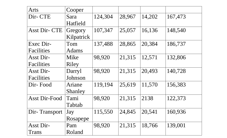| Arts                 | Cooper       |         |        |        |         |
|----------------------|--------------|---------|--------|--------|---------|
| Dir- CTE             | Sara         | 124,304 | 28,967 | 14,202 | 167,473 |
|                      | Hatfield     |         |        |        |         |
| <b>Asst Dir- CTE</b> | Gregory      | 107,347 | 25,057 | 16,136 | 148,540 |
|                      | Kilpatrick   |         |        |        |         |
| Exec Dir-            | Tom          | 137,488 | 28,865 | 20,384 | 186,737 |
| <b>Facilities</b>    | <b>Adams</b> |         |        |        |         |
| Asst Dir-            | Mike         | 98,920  | 21,315 | 12,571 | 132,806 |
| <b>Facilities</b>    | Riley        |         |        |        |         |
| Asst Dir-            | Darryl       | 98,920  | 21,315 | 20,493 | 140,728 |
| <b>Facilities</b>    | Johnson      |         |        |        |         |
| Dir-Food             | Ariane       | 119,194 | 25,619 | 11,570 | 156,383 |
|                      | Shanley      |         |        |        |         |
| <b>Asst Dir-Food</b> | Tami         | 98,920  | 21,315 | 2138   | 122,373 |
|                      | Tabtab       |         |        |        |         |
| Dir-Transport        | Jay          | 115,550 | 24,845 | 20,541 | 160,936 |
|                      | Rosapepe     |         |        |        |         |
| Asst Dir-            | Pam          | 98,920  | 21,315 | 18,766 | 139,001 |
| Trans                | Roland       |         |        |        |         |